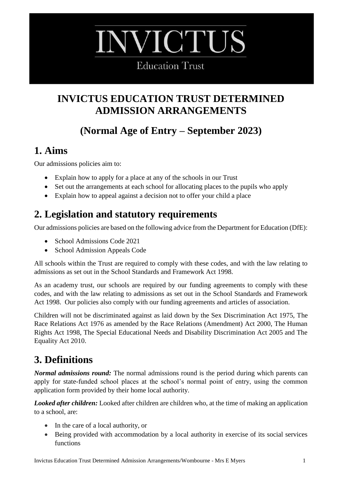# **VICTUS**

**Education Trust** 

## **INVICTUS EDUCATION TRUST DETERMINED ADMISSION ARRANGEMENTS**

# **(Normal Age of Entry – September 2023)**

#### **1. Aims**

Our admissions policies aim to:

- Explain how to apply for a place at any of the schools in our Trust
- Set out the arrangements at each school for allocating places to the pupils who apply
- Explain how to appeal against a decision not to offer your child a place

## **2. Legislation and statutory requirements**

Our admissions policies are based on the following advice from the Department for Education (DfE):

- School Admissions Code 2021
- School Admission Appeals Code

All schools within the Trust are required to comply with these codes, and with the law relating to admissions as set out in the School Standards and Framework Act 1998.

As an academy trust, our schools are required by our funding agreements to comply with these codes, and with the law relating to admissions as set out in the School Standards and Framework Act 1998. Our policies also comply with our funding agreements and articles of association.

Children will not be discriminated against as laid down by the Sex Discrimination Act 1975, The Race Relations Act 1976 as amended by the Race Relations (Amendment) Act 2000, The Human Rights Act 1998, The Special Educational Needs and Disability Discrimination Act 2005 and The Equality Act 2010.

# **3. Definitions**

*Normal admissions round:* The normal admissions round is the period during which parents can apply for state-funded school places at the school's normal point of entry, using the common application form provided by their home local authority.

*Looked after children:* Looked after children are children who, at the time of making an application to a school, are:

- In the care of a local authority, or
- Being provided with accommodation by a local authority in exercise of its social services functions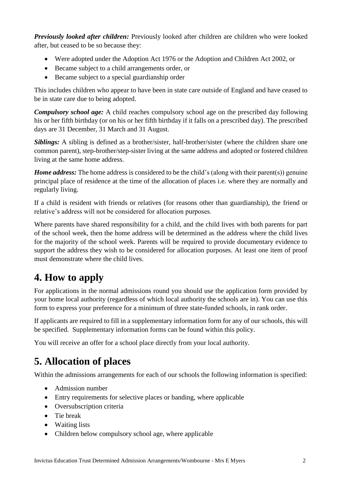*Previously looked after children:* Previously looked after children are children who were looked after, but ceased to be so because they:

- Were adopted under the Adoption Act 1976 or the Adoption and Children Act 2002, or
- Became subject to a child arrangements order, or
- Became subject to a special guardianship order

This includes children who appear to have been in state care outside of England and have ceased to be in state care due to being adopted.

*Compulsory school age:* A child reaches compulsory school age on the prescribed day following his or her fifth birthday (or on his or her fifth birthday if it falls on a prescribed day). The prescribed days are 31 December, 31 March and 31 August.

*Siblings:* A sibling is defined as a brother/sister, half-brother/sister (where the children share one common parent), step-brother/step-sister living at the same address and adopted or fostered children living at the same home address.

*Home address:* The home address is considered to be the child's (along with their parent(s)) genuine principal place of residence at the time of the allocation of places i.e. where they are normally and regularly living.

If a child is resident with friends or relatives (for reasons other than guardianship), the friend or relative's address will not be considered for allocation purposes.

Where parents have shared responsibility for a child, and the child lives with both parents for part of the school week, then the home address will be determined as the address where the child lives for the majority of the school week. Parents will be required to provide documentary evidence to support the address they wish to be considered for allocation purposes. At least one item of proof must demonstrate where the child lives.

#### **4. How to apply**

For applications in the normal admissions round you should use the application form provided by your home local authority (regardless of which local authority the schools are in). You can use this form to express your preference for a minimum of three state-funded schools, in rank order.

If applicants are required to fill in a supplementary information form for any of our schools, this will be specified. Supplementary information forms can be found within this policy.

You will receive an offer for a school place directly from your local authority.

## **5. Allocation of places**

Within the admissions arrangements for each of our schools the following information is specified:

- Admission number
- Entry requirements for selective places or banding, where applicable
- Oversubscription criteria
- Tie break
- Waiting lists
- Children below compulsory school age, where applicable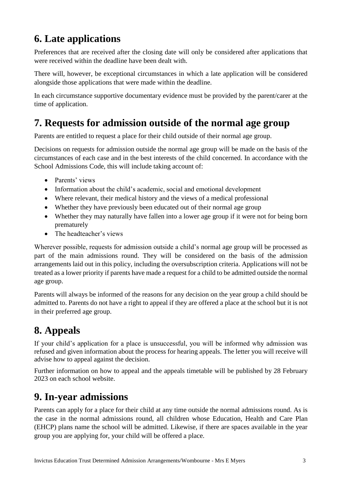# **6. Late applications**

Preferences that are received after the closing date will only be considered after applications that were received within the deadline have been dealt with.

There will, however, be exceptional circumstances in which a late application will be considered alongside those applications that were made within the deadline.

In each circumstance supportive documentary evidence must be provided by the parent/carer at the time of application.

## **7. Requests for admission outside of the normal age group**

Parents are entitled to request a place for their child outside of their normal age group.

Decisions on requests for admission outside the normal age group will be made on the basis of the circumstances of each case and in the best interests of the child concerned. In accordance with the School Admissions Code, this will include taking account of:

- Parents' views
- Information about the child's academic, social and emotional development
- Where relevant, their medical history and the views of a medical professional
- Whether they have previously been educated out of their normal age group
- Whether they may naturally have fallen into a lower age group if it were not for being born prematurely
- The headteacher's views

Wherever possible, requests for admission outside a child's normal age group will be processed as part of the main admissions round. They will be considered on the basis of the admission arrangements laid out in this policy, including the oversubscription criteria. Applications will not be treated as a lower priority if parents have made a request for a child to be admitted outside the normal age group.

Parents will always be informed of the reasons for any decision on the year group a child should be admitted to. Parents do not have a right to appeal if they are offered a place at the school but it is not in their preferred age group.

# **8. Appeals**

If your child's application for a place is unsuccessful, you will be informed why admission was refused and given information about the process for hearing appeals. The letter you will receive will advise how to appeal against the decision.

Further information on how to appeal and the appeals timetable will be published by 28 February 2023 on each school website.

#### **9. In-year admissions**

Parents can apply for a place for their child at any time outside the normal admissions round. As is the case in the normal admissions round, all children whose Education, Health and Care Plan (EHCP) plans name the school will be admitted. Likewise, if there are spaces available in the year group you are applying for, your child will be offered a place.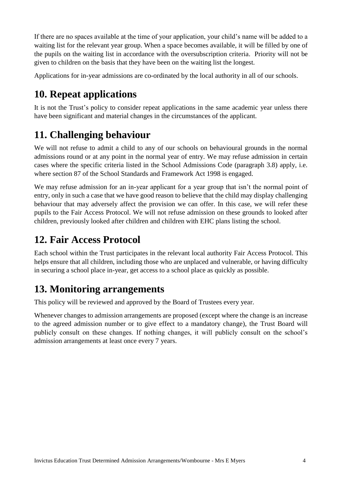If there are no spaces available at the time of your application, your child's name will be added to a waiting list for the relevant year group. When a space becomes available, it will be filled by one of the pupils on the waiting list in accordance with the oversubscription criteria. Priority will not be given to children on the basis that they have been on the waiting list the longest.

Applications for in-year admissions are co-ordinated by the local authority in all of our schools.

## **10. Repeat applications**

It is not the Trust's policy to consider repeat applications in the same academic year unless there have been significant and material changes in the circumstances of the applicant.

# **11. Challenging behaviour**

We will not refuse to admit a child to any of our schools on behavioural grounds in the normal admissions round or at any point in the normal year of entry. We may refuse admission in certain cases where the specific criteria listed in the School Admissions Code (paragraph 3.8) apply, i.e. where section 87 of the School Standards and Framework Act 1998 is engaged.

We may refuse admission for an in-year applicant for a year group that isn't the normal point of entry, only in such a case that we have good reason to believe that the child may display challenging behaviour that may adversely affect the provision we can offer. In this case, we will refer these pupils to the Fair Access Protocol. We will not refuse admission on these grounds to looked after children, previously looked after children and children with EHC plans listing the school.

## **12. Fair Access Protocol**

Each school within the Trust participates in the relevant local authority Fair Access Protocol. This helps ensure that all children, including those who are unplaced and vulnerable, or having difficulty in securing a school place in-year, get access to a school place as quickly as possible.

# **13. Monitoring arrangements**

This policy will be reviewed and approved by the Board of Trustees every year.

Whenever changes to admission arrangements are proposed (except where the change is an increase to the agreed admission number or to give effect to a mandatory change), the Trust Board will publicly consult on these changes. If nothing changes, it will publicly consult on the school's admission arrangements at least once every 7 years.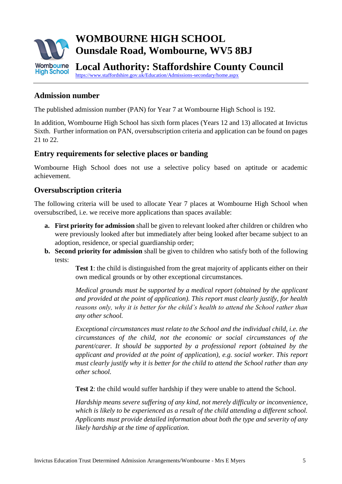

#### **Admission number**

The published admission number (PAN) for Year 7 at Wombourne High School is 192.

In addition, Wombourne High School has sixth form places (Years 12 and 13) allocated at Invictus Sixth. Further information on PAN, oversubscription criteria and application can be found on pages 21 to 22.

#### **Entry requirements for selective places or banding**

Wombourne High School does not use a selective policy based on aptitude or academic achievement.

#### **Oversubscription criteria**

The following criteria will be used to allocate Year 7 places at Wombourne High School when oversubscribed, i.e. we receive more applications than spaces available:

- **a. First priority for admission** shall be given to relevant looked after children or children who were previously looked after but immediately after being looked after became subject to an adoption, residence, or special guardianship order;
- **b. Second priority for admission** shall be given to children who satisfy both of the following tests:

**Test 1**: the child is distinguished from the great majority of applicants either on their own medical grounds or by other exceptional circumstances.

*Medical grounds must be supported by a medical report (obtained by the applicant and provided at the point of application). This report must clearly justify, for health reasons only, why it is better for the child's health to attend the School rather than any other school.*

*Exceptional circumstances must relate to the School and the individual child, i.e. the circumstances of the child, not the economic or social circumstances of the parent/carer. It should be supported by a professional report (obtained by the applicant and provided at the point of application), e.g. social worker. This report must clearly justify why it is better for the child to attend the School rather than any other school.*

**Test 2**: the child would suffer hardship if they were unable to attend the School.

*Hardship means severe suffering of any kind, not merely difficulty or inconvenience, which is likely to be experienced as a result of the child attending a different school. Applicants must provide detailed information about both the type and severity of any likely hardship at the time of application.*